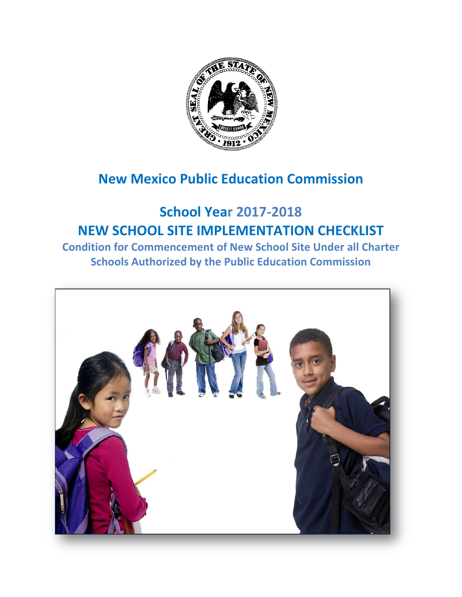

# **New Mexico Public Education Commission**

# **School Year 2017-2018 NEW SCHOOL SITE IMPLEMENTATION CHECKLIST**

**Condition for Commencement of New School Site Under all Charter Schools Authorized by the Public Education Commission**

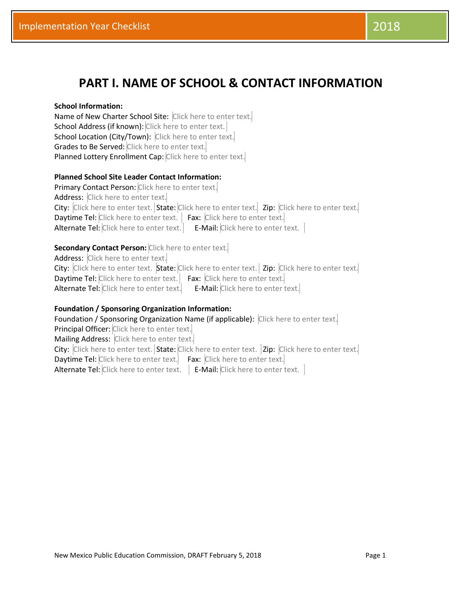# **PART I. NAME OF SCHOOL & CONTACT INFORMATION**

#### **School Information:**

Name of New Charter School Site: Click here to enter text. School Address (if known): Click here to enter text. School Location (City/Town): Click here to enter text. Grades to Be Served: Click here to enter text. Planned Lottery Enrollment Cap: Click here to enter text.

#### **Planned School Site Leader Contact Information:**

Primary Contact Person: Click here to enter text. Address: Click here to enter text. City: Click here to enter text. State: Click here to enter text. Zip: Click here to enter text. Daytime Tel: Click here to enter text. | Fax: Click here to enter text. Alternate Tel: Click here to enter text.  $\vert$  E-Mail: Click here to enter text.  $\vert$ 

#### **Secondary Contact Person:** Click here to enter text.

Address: Click here to enter text. City: Click here to enter text. State: Click here to enter text. | Zip: Click here to enter text. Daytime Tel: Click here to enter text. Fax: Click here to enter text. Alternate Tel: Click here to enter text. E-Mail: Click here to enter text.

#### **Foundation / Sponsoring Organization Information:**

Foundation / Sponsoring Organization Name (if applicable): Click here to enter text. Principal Officer: Click here to enter text. Mailing Address: Click here to enter text. City: Click here to enter text. State: Click here to enter text. | Zip: Click here to enter text.| Daytime Tel: Click here to enter text. Fax: Click here to enter text. Alternate Tel: Click here to enter text.  $\vert$  E-Mail: Click here to enter text.  $\vert$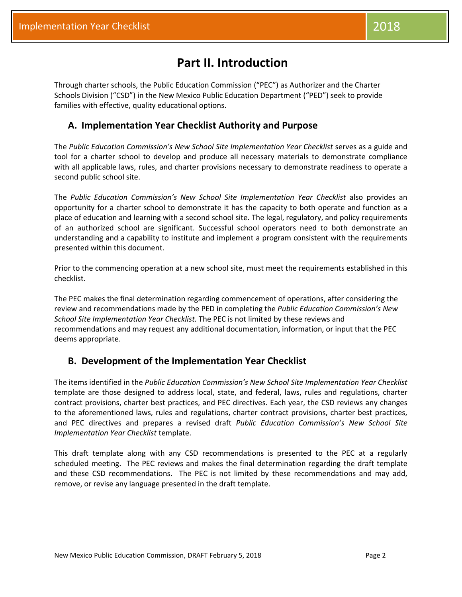Through charter schools, the Public Education Commission ("PEC") as Authorizer and the Charter Schools Division ("CSD") in the New Mexico Public Education Department ("PED") seek to provide families with effective, quality educational options.

### **A. Implementation Year Checklist Authority and Purpose**

The *Public Education Commission's New School Site Implementation Year Checklist* serves as a guide and tool for a charter school to develop and produce all necessary materials to demonstrate compliance with all applicable laws, rules, and charter provisions necessary to demonstrate readiness to operate a second public school site.

The *Public Education Commission's New School Site Implementation Year Checklist* also provides an opportunity for a charter school to demonstrate it has the capacity to both operate and function as a place of education and learning with a second school site. The legal, regulatory, and policy requirements of an authorized school are significant. Successful school operators need to both demonstrate an understanding and a capability to institute and implement a program consistent with the requirements presented within this document.

Prior to the commencing operation at a new school site, must meet the requirements established in this checklist.

The PEC makes the final determination regarding commencement of operations, after considering the review and recommendations made by the PED in completing the *Public Education Commission's New School Site Implementation Year Checklist.* The PEC is not limited by these reviews and recommendations and may request any additional documentation, information, or input that the PEC deems appropriate.

### **B. Development of the Implementation Year Checklist**

The items identified in the *Public Education Commission's New School Site Implementation Year Checklist* template are those designed to address local, state, and federal, laws, rules and regulations, charter contract provisions, charter best practices, and PEC directives. Each year, the CSD reviews any changes to the aforementioned laws, rules and regulations, charter contract provisions, charter best practices, and PEC directives and prepares a revised draft *Public Education Commission's New School Site Implementation Year Checklist* template.

This draft template along with any CSD recommendations is presented to the PEC at a regularly scheduled meeting. The PEC reviews and makes the final determination regarding the draft template and these CSD recommendations. The PEC is not limited by these recommendations and may add, remove, or revise any language presented in the draft template.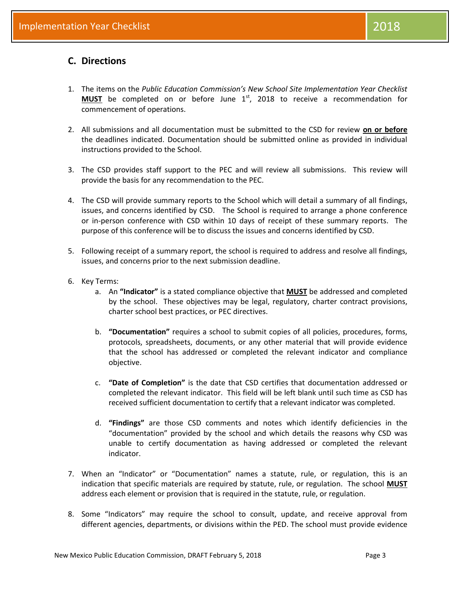### **C. Directions**

- 1. The items on the *Public Education Commission's New School Site Implementation Year Checklist* MUST be completed on or before June 1<sup>st</sup>, 2018 to receive a recommendation for commencement of operations.
- 2. All submissions and all documentation must be submitted to the CSD for review **on or before** the deadlines indicated. Documentation should be submitted online as provided in individual instructions provided to the School.
- 3. The CSD provides staff support to the PEC and will review all submissions. This review will provide the basis for any recommendation to the PEC.
- 4. The CSD will provide summary reports to the School which will detail a summary of all findings, issues, and concerns identified by CSD. The School is required to arrange a phone conference or in-person conference with CSD within 10 days of receipt of these summary reports. The purpose of this conference will be to discuss the issues and concerns identified by CSD.
- 5. Following receipt of a summary report, the school is required to address and resolve all findings, issues, and concerns prior to the next submission deadline.
- 6. Key Terms:
	- a. An **"Indicator"** is a stated compliance objective that **MUST** be addressed and completed by the school. These objectives may be legal, regulatory, charter contract provisions, charter school best practices, or PEC directives.
	- b. **"Documentation"** requires a school to submit copies of all policies, procedures, forms, protocols, spreadsheets, documents, or any other material that will provide evidence that the school has addressed or completed the relevant indicator and compliance objective.
	- c. **"Date of Completion"** is the date that CSD certifies that documentation addressed or completed the relevant indicator. This field will be left blank until such time as CSD has received sufficient documentation to certify that a relevant indicator was completed.
	- d. **"Findings"** are those CSD comments and notes which identify deficiencies in the "documentation" provided by the school and which details the reasons why CSD was unable to certify documentation as having addressed or completed the relevant indicator.
- 7. When an "Indicator" or "Documentation" names a statute, rule, or regulation, this is an indication that specific materials are required by statute, rule, or regulation. The school **MUST** address each element or provision that is required in the statute, rule, or regulation.
- 8. Some "Indicators" may require the school to consult, update, and receive approval from different agencies, departments, or divisions within the PED. The school must provide evidence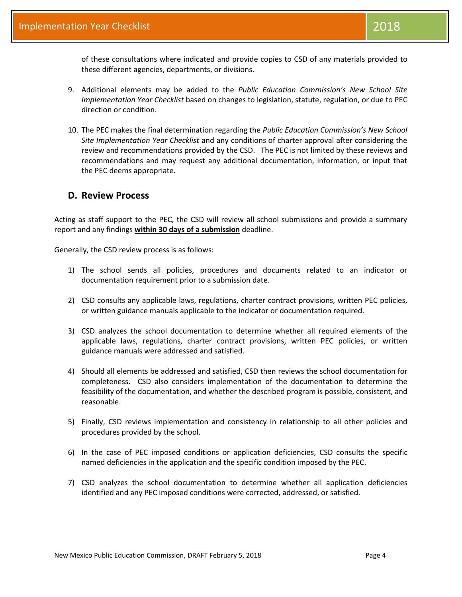of these consultations where indicated and provide copies to CSD of any materials provided to these different agencies, departments, or divisions.

- 9. Additional elements may be added to the *Public Education Commission's New School Site Implementation Year Checklist* based on changes to legislation, statute, regulation, or due to PEC direction or condition.
- 10. The PEC makes the final determination regarding the *Public Education Commission's New School Site Implementation Year Checklist* and any conditions of charter approval after considering the review and recommendations provided by the CSD. The PEC is not limited by these reviews and recommendations and may request any additional documentation, information, or input that the PEC deems appropriate.

### **D. Review Process**

Acting as staff support to the PEC, the CSD will review all school submissions and provide a summary report and any findings **within 30 days of a submission** deadline.

Generally, the CSD review process is as follows:

- 1) The school sends all policies, procedures and documents related to an indicator or documentation requirement prior to a submission date.
- 2) CSD consults any applicable laws, regulations, charter contract provisions, written PEC policies, or written guidance manuals applicable to the indicator or documentation required.
- 3) CSD analyzes the school documentation to determine whether all required elements of the applicable laws, regulations, charter contract provisions, written PEC policies, or written guidance manuals were addressed and satisfied.
- 4) Should all elements be addressed and satisfied, CSD then reviews the school documentation for completeness. CSD also considers implementation of the documentation to determine the feasibility of the documentation, and whether the described program is possible, consistent, and reasonable.
- 5) Finally, CSD reviews implementation and consistency in relationship to all other policies and procedures provided by the school.
- 6) In the case of PEC imposed conditions or application deficiencies, CSD consults the specific named deficiencies in the application and the specific condition imposed by the PEC.
- 7) CSD analyzes the school documentation to determine whether all application deficiencies identified and any PEC imposed conditions were corrected, addressed, or satisfied.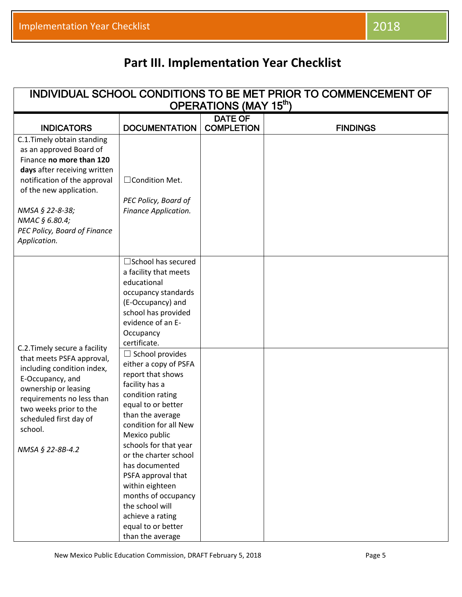# **Part III. Implementation Year Checklist**

|                                                                                                                                                                                                                                                                    |                                                                                                                                                                                                                                                                                                                                                                                                                     |                                     | INDIVIDUAL SCHOOL CONDITIONS TO BE MET PRIOR TO COMMENCEMENT OF |
|--------------------------------------------------------------------------------------------------------------------------------------------------------------------------------------------------------------------------------------------------------------------|---------------------------------------------------------------------------------------------------------------------------------------------------------------------------------------------------------------------------------------------------------------------------------------------------------------------------------------------------------------------------------------------------------------------|-------------------------------------|-----------------------------------------------------------------|
|                                                                                                                                                                                                                                                                    |                                                                                                                                                                                                                                                                                                                                                                                                                     | OPERATIONS (MAY 15th)               |                                                                 |
| <b>INDICATORS</b>                                                                                                                                                                                                                                                  | <b>DOCUMENTATION</b>                                                                                                                                                                                                                                                                                                                                                                                                | <b>DATE OF</b><br><b>COMPLETION</b> | <b>FINDINGS</b>                                                 |
| C.1. Timely obtain standing<br>as an approved Board of<br>Finance no more than 120<br>days after receiving written<br>notification of the approval<br>of the new application.<br>NMSA § 22-8-38;<br>NMAC § 6.80.4;<br>PEC Policy, Board of Finance<br>Application. | □ Condition Met.<br>PEC Policy, Board of<br>Finance Application.                                                                                                                                                                                                                                                                                                                                                    |                                     |                                                                 |
| C.2. Timely secure a facility                                                                                                                                                                                                                                      | $\square$ School has secured<br>a facility that meets<br>educational<br>occupancy standards<br>(E-Occupancy) and<br>school has provided<br>evidence of an E-<br>Occupancy<br>certificate.                                                                                                                                                                                                                           |                                     |                                                                 |
| that meets PSFA approval,<br>including condition index,<br>E-Occupancy, and<br>ownership or leasing<br>requirements no less than<br>two weeks prior to the<br>scheduled first day of<br>school.<br>NMSA § 22-8B-4.2                                                | $\Box$ School provides<br>either a copy of PSFA<br>report that shows<br>facility has a<br>condition rating<br>equal to or better<br>than the average<br>condition for all New<br>Mexico public<br>schools for that year<br>or the charter school<br>has documented<br>PSFA approval that<br>within eighteen<br>months of occupancy<br>the school will<br>achieve a rating<br>equal to or better<br>than the average |                                     |                                                                 |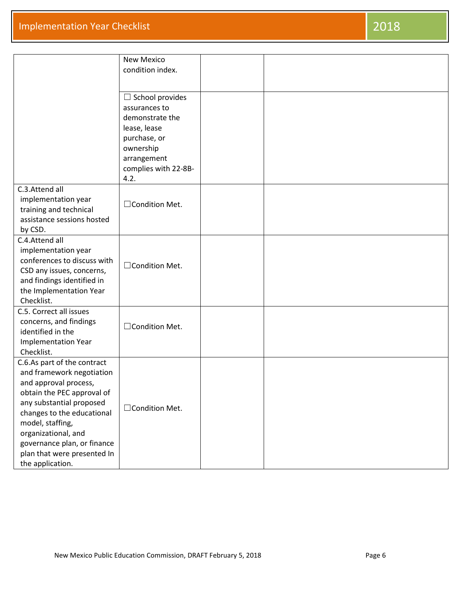|                                                                                                                                                                                                                                                                                                        | <b>New Mexico</b><br>condition index.                                                                                                                  |  |
|--------------------------------------------------------------------------------------------------------------------------------------------------------------------------------------------------------------------------------------------------------------------------------------------------------|--------------------------------------------------------------------------------------------------------------------------------------------------------|--|
|                                                                                                                                                                                                                                                                                                        | $\Box$ School provides<br>assurances to<br>demonstrate the<br>lease, lease<br>purchase, or<br>ownership<br>arrangement<br>complies with 22-8B-<br>4.2. |  |
| C.3.Attend all<br>implementation year<br>training and technical<br>assistance sessions hosted<br>by CSD.                                                                                                                                                                                               | □Condition Met.                                                                                                                                        |  |
| C.4.Attend all<br>implementation year<br>conferences to discuss with<br>CSD any issues, concerns,<br>and findings identified in<br>the Implementation Year<br>Checklist.                                                                                                                               | $\Box$ Condition Met.                                                                                                                                  |  |
| C.5. Correct all issues<br>concerns, and findings<br>identified in the<br><b>Implementation Year</b><br>Checklist.                                                                                                                                                                                     | □ Condition Met.                                                                                                                                       |  |
| C.6.As part of the contract<br>and framework negotiation<br>and approval process,<br>obtain the PEC approval of<br>any substantial proposed<br>changes to the educational<br>model, staffing,<br>organizational, and<br>governance plan, or finance<br>plan that were presented In<br>the application. | □ Condition Met.                                                                                                                                       |  |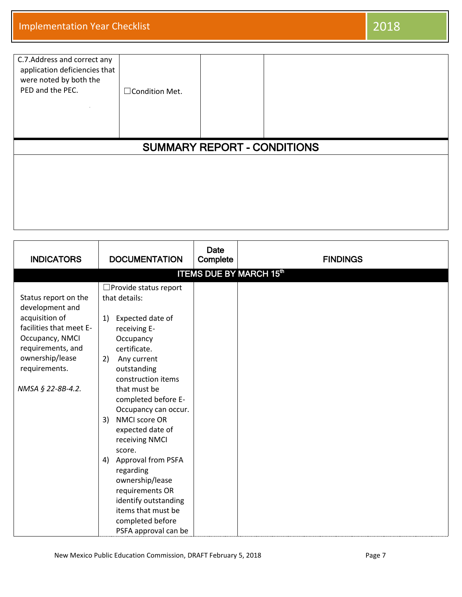| C.7. Address and correct any<br>application deficiencies that<br>were noted by both the<br>PED and the PEC. | □ Condition Met.                   |  |  |  |  |
|-------------------------------------------------------------------------------------------------------------|------------------------------------|--|--|--|--|
|                                                                                                             | <b>SUMMARY REPORT - CONDITIONS</b> |  |  |  |  |
|                                                                                                             |                                    |  |  |  |  |
|                                                                                                             |                                    |  |  |  |  |

| <b>INDICATORS</b>                                                                                                                                                                     | <b>DOCUMENTATION</b>                                                                                                                                                                                                                                                                                                                                          | <b>Date</b><br>Complete | <b>FINDINGS</b> |  |  |  |
|---------------------------------------------------------------------------------------------------------------------------------------------------------------------------------------|---------------------------------------------------------------------------------------------------------------------------------------------------------------------------------------------------------------------------------------------------------------------------------------------------------------------------------------------------------------|-------------------------|-----------------|--|--|--|
|                                                                                                                                                                                       | <b>ITEMS DUE BY MARCH 15th</b>                                                                                                                                                                                                                                                                                                                                |                         |                 |  |  |  |
| Status report on the<br>development and<br>acquisition of<br>facilities that meet E-<br>Occupancy, NMCI<br>requirements, and<br>ownership/lease<br>requirements.<br>NMSA § 22-8B-4.2. | $\Box$ Provide status report<br>that details:<br>Expected date of<br>1)<br>receiving E-<br>Occupancy<br>certificate.<br>Any current<br>2)<br>outstanding<br>construction items<br>that must be<br>completed before E-<br>Occupancy can occur.<br>NMCI score OR<br>3)<br>expected date of<br>receiving NMCI<br>score.<br>Approval from PSFA<br>4)<br>regarding |                         |                 |  |  |  |
|                                                                                                                                                                                       | ownership/lease<br>requirements OR                                                                                                                                                                                                                                                                                                                            |                         |                 |  |  |  |
|                                                                                                                                                                                       | identify outstanding<br>items that must be<br>completed before<br>PSFA approval can be                                                                                                                                                                                                                                                                        |                         |                 |  |  |  |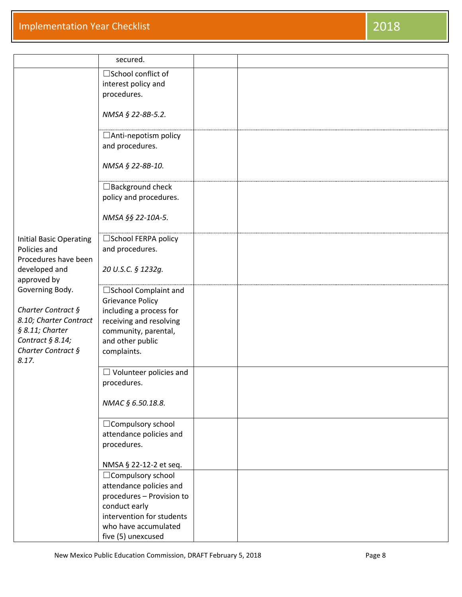|                                                                                                                                           | secured.                                                                                                                                                           |  |
|-------------------------------------------------------------------------------------------------------------------------------------------|--------------------------------------------------------------------------------------------------------------------------------------------------------------------|--|
|                                                                                                                                           | □School conflict of<br>interest policy and<br>procedures.                                                                                                          |  |
|                                                                                                                                           | NMSA § 22-8B-5.2.                                                                                                                                                  |  |
|                                                                                                                                           | $\Box$ Anti-nepotism policy<br>and procedures.                                                                                                                     |  |
|                                                                                                                                           | NMSA § 22-8B-10.                                                                                                                                                   |  |
|                                                                                                                                           | $\Box$ Background check<br>policy and procedures.                                                                                                                  |  |
|                                                                                                                                           | NMSA §§ 22-10A-5.                                                                                                                                                  |  |
| <b>Initial Basic Operating</b><br>Policies and<br>Procedures have been                                                                    | □ School FERPA policy<br>and procedures.                                                                                                                           |  |
| developed and<br>approved by                                                                                                              | 20 U.S.C. § 1232g.                                                                                                                                                 |  |
| Governing Body.<br>Charter Contract §<br>8.10; Charter Contract<br>$§ 8.11;$ Charter<br>Contract $§ 8.14;$<br>Charter Contract §<br>8.17. | □ School Complaint and<br><b>Grievance Policy</b><br>including a process for<br>receiving and resolving<br>community, parental,<br>and other public<br>complaints. |  |
|                                                                                                                                           | $\Box$ Volunteer policies and<br>procedures.                                                                                                                       |  |
|                                                                                                                                           | NMAC § 6.50.18.8.                                                                                                                                                  |  |
|                                                                                                                                           | $\Box$ Compulsory school<br>attendance policies and<br>procedures.                                                                                                 |  |
|                                                                                                                                           | NMSA § 22-12-2 et seq.<br>□ Compulsory school                                                                                                                      |  |
|                                                                                                                                           | attendance policies and<br>procedures - Provision to<br>conduct early<br>intervention for students<br>who have accumulated                                         |  |
|                                                                                                                                           | five (5) unexcused                                                                                                                                                 |  |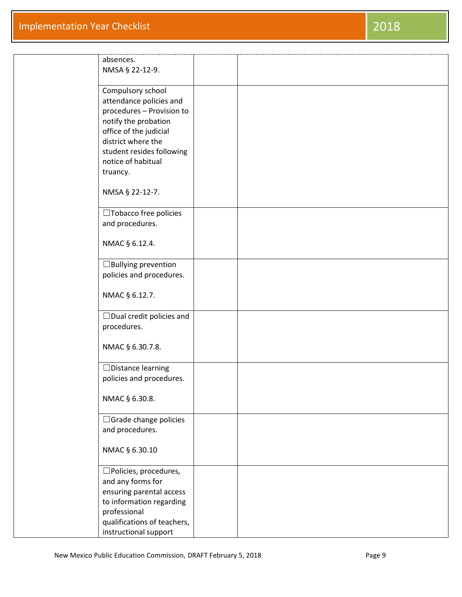| absences.<br>NMSA § 22-12-9.                                                                                                                                                   |  |
|--------------------------------------------------------------------------------------------------------------------------------------------------------------------------------|--|
| Compulsory school<br>attendance policies and<br>procedures - Provision to<br>notify the probation<br>office of the judicial<br>district where the<br>student resides following |  |
| notice of habitual<br>truancy.                                                                                                                                                 |  |
| NMSA § 22-12-7.                                                                                                                                                                |  |
| □Tobacco free policies<br>and procedures.                                                                                                                                      |  |
| NMAC § 6.12.4.                                                                                                                                                                 |  |
| $\Box$ Bullying prevention<br>policies and procedures.                                                                                                                         |  |
| NMAC § 6.12.7.                                                                                                                                                                 |  |
| $\Box$ Dual credit policies and<br>procedures.                                                                                                                                 |  |
| NMAC § 6.30.7.8.                                                                                                                                                               |  |
| $\Box$ Distance learning<br>policies and procedures.                                                                                                                           |  |
| NMAC § 6.30.8.                                                                                                                                                                 |  |
| $\Box$ Grade change policies<br>and procedures.                                                                                                                                |  |
| NMAC § 6.30.10                                                                                                                                                                 |  |
| $\square$ Policies, procedures,<br>and any forms for<br>ensuring parental access<br>to information regarding<br>professional                                                   |  |
| qualifications of teachers,<br>instructional support                                                                                                                           |  |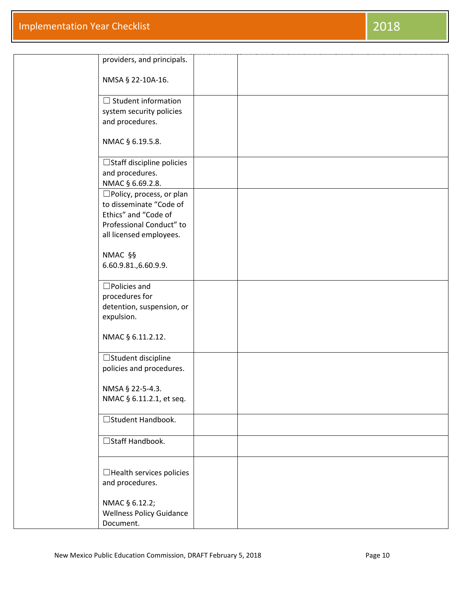| providers, and principals.                         |  |  |
|----------------------------------------------------|--|--|
| NMSA § 22-10A-16.                                  |  |  |
| $\Box$ Student information                         |  |  |
| system security policies<br>and procedures.        |  |  |
|                                                    |  |  |
| NMAC § 6.19.5.8.                                   |  |  |
| $\Box$ Staff discipline policies                   |  |  |
| and procedures.<br>NMAC § 6.69.2.8.                |  |  |
| $\square$ Policy, process, or plan                 |  |  |
| to disseminate "Code of<br>Ethics" and "Code of    |  |  |
| Professional Conduct" to                           |  |  |
| all licensed employees.                            |  |  |
| NMAC §§                                            |  |  |
| 6.60.9.81.,6.60.9.9.                               |  |  |
| $\square$ Policies and                             |  |  |
| procedures for<br>detention, suspension, or        |  |  |
| expulsion.                                         |  |  |
| NMAC § 6.11.2.12.                                  |  |  |
| $\Box$ Student discipline                          |  |  |
| policies and procedures.                           |  |  |
| NMSA § 22-5-4.3.                                   |  |  |
| NMAC § 6.11.2.1, et seq.                           |  |  |
| □ Student Handbook.                                |  |  |
| □ Staff Handbook.                                  |  |  |
|                                                    |  |  |
| $\Box$ Health services policies<br>and procedures. |  |  |
|                                                    |  |  |
| NMAC § 6.12.2;<br><b>Wellness Policy Guidance</b>  |  |  |
| Document.                                          |  |  |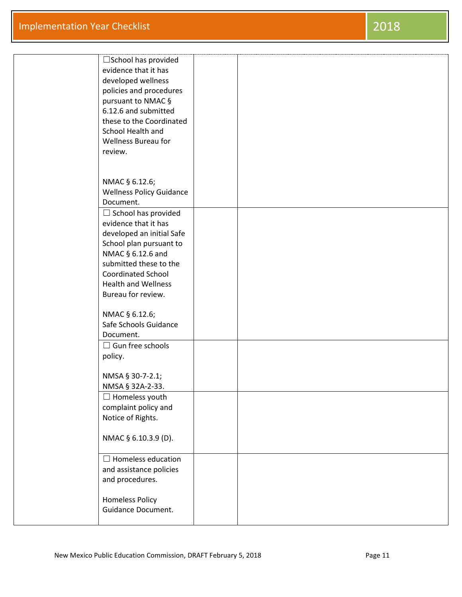| $\square$ School has provided<br>evidence that it has<br>developed wellness<br>policies and procedures<br>pursuant to NMAC §<br>6.12.6 and submitted<br>these to the Coordinated<br>School Health and<br><b>Wellness Bureau for</b><br>review. |  |
|------------------------------------------------------------------------------------------------------------------------------------------------------------------------------------------------------------------------------------------------|--|
|                                                                                                                                                                                                                                                |  |
| NMAC § 6.12.6;<br><b>Wellness Policy Guidance</b><br>Document.                                                                                                                                                                                 |  |
| $\Box$ School has provided                                                                                                                                                                                                                     |  |
| evidence that it has<br>developed an initial Safe<br>School plan pursuant to                                                                                                                                                                   |  |
| NMAC § 6.12.6 and                                                                                                                                                                                                                              |  |
| submitted these to the<br><b>Coordinated School</b>                                                                                                                                                                                            |  |
| <b>Health and Wellness</b>                                                                                                                                                                                                                     |  |
| Bureau for review.                                                                                                                                                                                                                             |  |
| NMAC § 6.12.6;<br>Safe Schools Guidance<br>Document.                                                                                                                                                                                           |  |
| $\Box$ Gun free schools                                                                                                                                                                                                                        |  |
| policy.                                                                                                                                                                                                                                        |  |
| NMSA § 30-7-2.1;<br>NMSA § 32A-2-33.                                                                                                                                                                                                           |  |
| $\Box$ Homeless youth<br>complaint policy and<br>Notice of Rights.                                                                                                                                                                             |  |
| NMAC § 6.10.3.9 (D).                                                                                                                                                                                                                           |  |
| $\Box$ Homeless education<br>and assistance policies<br>and procedures.                                                                                                                                                                        |  |
| <b>Homeless Policy</b><br>Guidance Document.                                                                                                                                                                                                   |  |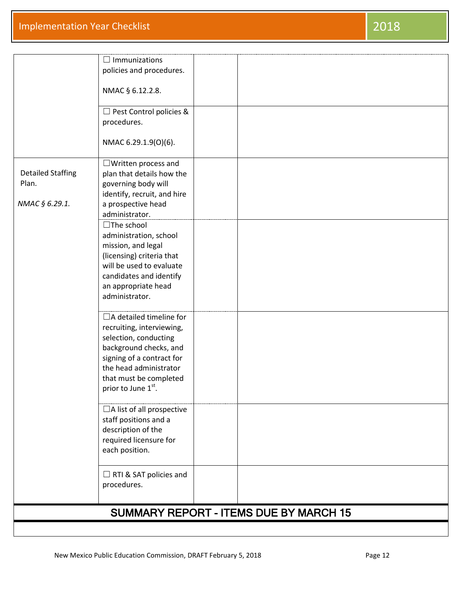## **Implementation Year Checklist** 2018

|                                   | $\Box$ Immunizations<br>policies and procedures.    |                                               |  |
|-----------------------------------|-----------------------------------------------------|-----------------------------------------------|--|
|                                   | NMAC § 6.12.2.8.                                    |                                               |  |
|                                   |                                                     |                                               |  |
|                                   | $\Box$ Pest Control policies &                      |                                               |  |
|                                   | procedures.                                         |                                               |  |
|                                   | NMAC 6.29.1.9(0)(6).                                |                                               |  |
|                                   | $\Box$ Written process and                          |                                               |  |
| <b>Detailed Staffing</b><br>Plan. | plan that details how the<br>governing body will    |                                               |  |
|                                   | identify, recruit, and hire                         |                                               |  |
| NMAC § 6.29.1.                    | a prospective head                                  |                                               |  |
|                                   | administrator.                                      |                                               |  |
|                                   | $\Box$ The school                                   |                                               |  |
|                                   | administration, school                              |                                               |  |
|                                   | mission, and legal<br>(licensing) criteria that     |                                               |  |
|                                   | will be used to evaluate                            |                                               |  |
|                                   | candidates and identify                             |                                               |  |
|                                   | an appropriate head                                 |                                               |  |
|                                   | administrator.                                      |                                               |  |
|                                   | $\Box$ A detailed timeline for                      |                                               |  |
|                                   | recruiting, interviewing,                           |                                               |  |
|                                   | selection, conducting                               |                                               |  |
|                                   | background checks, and<br>signing of a contract for |                                               |  |
|                                   | the head administrator                              |                                               |  |
|                                   | that must be completed                              |                                               |  |
|                                   | prior to June 1st.                                  |                                               |  |
|                                   | $\Box$ A list of all prospective                    |                                               |  |
|                                   | staff positions and a                               |                                               |  |
|                                   | description of the                                  |                                               |  |
|                                   | required licensure for<br>each position.            |                                               |  |
|                                   |                                                     |                                               |  |
|                                   | $\Box$ RTI & SAT policies and                       |                                               |  |
|                                   | procedures.                                         |                                               |  |
|                                   |                                                     |                                               |  |
|                                   |                                                     | <b>SUMMARY REPORT - ITEMS DUE BY MARCH 15</b> |  |
|                                   |                                                     |                                               |  |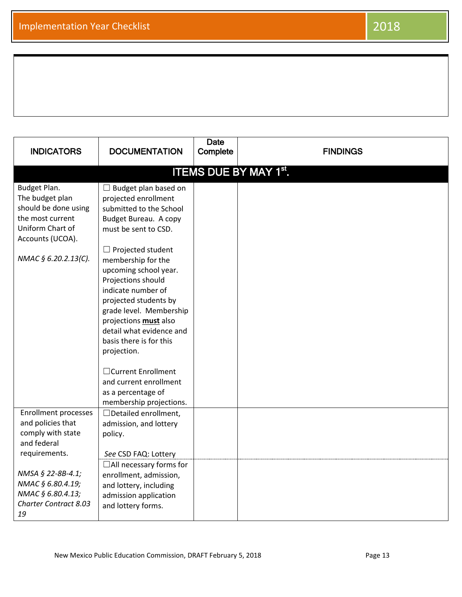| <b>INDICATORS</b>                                                                                                                           | <b>DOCUMENTATION</b>                                                                                                                                                                                                                                                                                                                                                                                                                                                                                                | <b>Date</b><br>Complete | <b>FINDINGS</b> |  |  |  |
|---------------------------------------------------------------------------------------------------------------------------------------------|---------------------------------------------------------------------------------------------------------------------------------------------------------------------------------------------------------------------------------------------------------------------------------------------------------------------------------------------------------------------------------------------------------------------------------------------------------------------------------------------------------------------|-------------------------|-----------------|--|--|--|
| <b>ITEMS DUE BY MAY 1st.</b>                                                                                                                |                                                                                                                                                                                                                                                                                                                                                                                                                                                                                                                     |                         |                 |  |  |  |
| Budget Plan.<br>The budget plan<br>should be done using<br>the most current<br>Uniform Chart of<br>Accounts (UCOA).<br>NMAC § 6.20.2.13(C). | $\Box$ Budget plan based on<br>projected enrollment<br>submitted to the School<br>Budget Bureau. A copy<br>must be sent to CSD.<br>$\Box$ Projected student<br>membership for the<br>upcoming school year.<br>Projections should<br>indicate number of<br>projected students by<br>grade level. Membership<br>projections <b>must</b> also<br>detail what evidence and<br>basis there is for this<br>projection.<br>□ Current Enrollment<br>and current enrollment<br>as a percentage of<br>membership projections. |                         |                 |  |  |  |
| <b>Enrollment processes</b><br>and policies that<br>comply with state<br>and federal<br>requirements.                                       | $\Box$ Detailed enrollment,<br>admission, and lottery<br>policy.<br>See CSD FAQ: Lottery                                                                                                                                                                                                                                                                                                                                                                                                                            |                         |                 |  |  |  |
| NMSA § 22-8B-4.1;<br>NMAC § 6.80.4.19;<br>NMAC § 6.80.4.13;<br><b>Charter Contract 8.03</b><br>19                                           | $\Box$ All necessary forms for<br>enrollment, admission,<br>and lottery, including<br>admission application<br>and lottery forms.                                                                                                                                                                                                                                                                                                                                                                                   |                         |                 |  |  |  |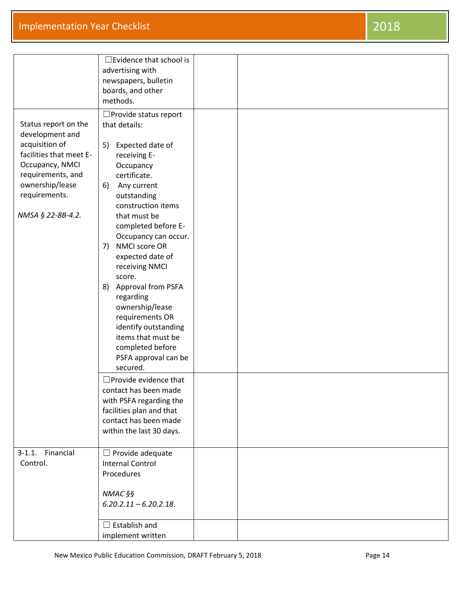|                                                                                                                                                                                       | $\exists$ Evidence that school is<br>advertising with<br>newspapers, bulletin<br>boards, and other<br>methods.                                                                                                                                                                                                                                                                                                                                                                                                                                                                                                                                                                    |  |  |
|---------------------------------------------------------------------------------------------------------------------------------------------------------------------------------------|-----------------------------------------------------------------------------------------------------------------------------------------------------------------------------------------------------------------------------------------------------------------------------------------------------------------------------------------------------------------------------------------------------------------------------------------------------------------------------------------------------------------------------------------------------------------------------------------------------------------------------------------------------------------------------------|--|--|
| Status report on the<br>development and<br>acquisition of<br>facilities that meet E-<br>Occupancy, NMCI<br>requirements, and<br>ownership/lease<br>requirements.<br>NMSA § 22-8B-4.2. | $\Box$ Provide status report<br>that details:<br>Expected date of<br>5)<br>receiving E-<br>Occupancy<br>certificate.<br>Any current<br>6)<br>outstanding<br>construction items<br>that must be<br>completed before E-<br>Occupancy can occur.<br>NMCI score OR<br>7)<br>expected date of<br>receiving NMCI<br>score.<br>Approval from PSFA<br>8)<br>regarding<br>ownership/lease<br>requirements OR<br>identify outstanding<br>items that must be<br>completed before<br>PSFA approval can be<br>secured.<br>$\square$ Provide evidence that<br>contact has been made<br>with PSFA regarding the<br>facilities plan and that<br>contact has been made<br>within the last 30 days. |  |  |
| Financial<br>$3-1.1.$<br>Control.                                                                                                                                                     | $\Box$ Provide adequate<br><b>Internal Control</b><br>Procedures<br>NMAC §§<br>$6.20.2.11 - 6.20.2.18$ .                                                                                                                                                                                                                                                                                                                                                                                                                                                                                                                                                                          |  |  |
|                                                                                                                                                                                       | $\Box$ Establish and<br>implement written                                                                                                                                                                                                                                                                                                                                                                                                                                                                                                                                                                                                                                         |  |  |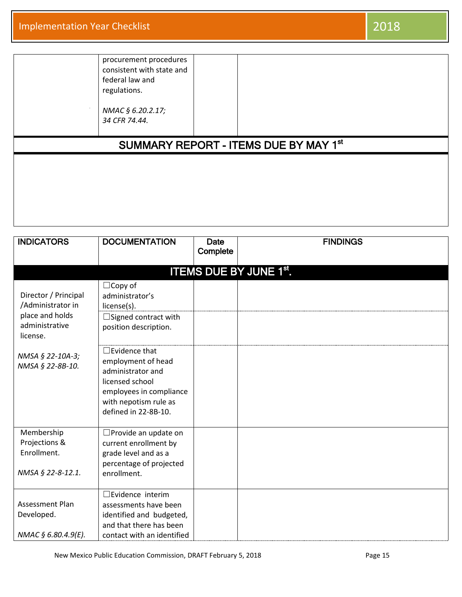| procurement procedures<br>consistent with state and<br>federal law and<br>regulations.<br>NMAC § 6.20.2.17; |                                                   |
|-------------------------------------------------------------------------------------------------------------|---------------------------------------------------|
| 34 CFR 74.44.                                                                                               | SUMMARY REPORT - ITEMS DUE BY MAY 1 <sup>st</sup> |

| <b>INDICATORS</b>                                                              | <b>DOCUMENTATION</b>                                                                                                                                           | <b>Date</b> | <b>FINDINGS</b>               |
|--------------------------------------------------------------------------------|----------------------------------------------------------------------------------------------------------------------------------------------------------------|-------------|-------------------------------|
|                                                                                |                                                                                                                                                                | Complete    |                               |
|                                                                                |                                                                                                                                                                |             | <b>ITEMS DUE BY JUNE 1st.</b> |
| Director / Principal<br>/Administrator in<br>place and holds<br>administrative | $\Box$ Copy of<br>administrator's<br>license(s).<br>$\Box$ Signed contract with                                                                                |             |                               |
| license.                                                                       | position description.                                                                                                                                          |             |                               |
| NMSA § 22-10A-3;<br>NMSA § 22-8B-10.                                           | $\Box$ Evidence that<br>employment of head<br>administrator and<br>licensed school<br>employees in compliance<br>with nepotism rule as<br>defined in 22-8B-10. |             |                               |
| Membership<br>Projections &<br>Enrollment.<br>NMSA § 22-8-12.1.                | □ Provide an update on<br>current enrollment by<br>grade level and as a<br>percentage of projected<br>enrollment.                                              |             |                               |
| Assessment Plan<br>Developed.<br>NMAC § 6.80.4.9(E).                           | $\square$ Evidence interim<br>assessments have been<br>identified and budgeted,<br>and that there has been<br>contact with an identified                       |             |                               |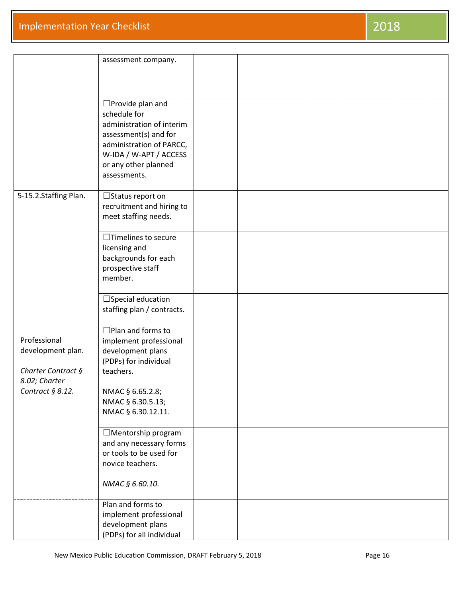|                       | assessment company.        |  |
|-----------------------|----------------------------|--|
|                       |                            |  |
|                       |                            |  |
|                       |                            |  |
|                       | $\square$ Provide plan and |  |
|                       | schedule for               |  |
|                       | administration of interim  |  |
|                       | assessment(s) and for      |  |
|                       |                            |  |
|                       | administration of PARCC,   |  |
|                       | W-IDA / W-APT / ACCESS     |  |
|                       | or any other planned       |  |
|                       | assessments.               |  |
|                       |                            |  |
| 5-15.2.Staffing Plan. | $\Box$ Status report on    |  |
|                       | recruitment and hiring to  |  |
|                       | meet staffing needs.       |  |
|                       |                            |  |
|                       | $\Box$ Timelines to secure |  |
|                       | licensing and              |  |
|                       | backgrounds for each       |  |
|                       |                            |  |
|                       | prospective staff          |  |
|                       | member.                    |  |
|                       |                            |  |
|                       | $\Box$ Special education   |  |
|                       | staffing plan / contracts. |  |
|                       |                            |  |
|                       | $\Box$ Plan and forms to   |  |
| Professional          | implement professional     |  |
| development plan.     | development plans          |  |
|                       | (PDPs) for individual      |  |
| Charter Contract §    | teachers.                  |  |
| 8.02; Charter         |                            |  |
| Contract $§ 8.12.$    | NMAC § 6.65.2.8;           |  |
|                       | NMAC § 6.30.5.13;          |  |
|                       | NMAC § 6.30.12.11.         |  |
|                       |                            |  |
|                       |                            |  |
|                       | $\Box$ Mentorship program  |  |
|                       | and any necessary forms    |  |
|                       | or tools to be used for    |  |
|                       | novice teachers.           |  |
|                       |                            |  |
|                       | NMAC § 6.60.10.            |  |
|                       |                            |  |
|                       | Plan and forms to          |  |
|                       | implement professional     |  |
|                       | development plans          |  |
|                       | (PDPs) for all individual  |  |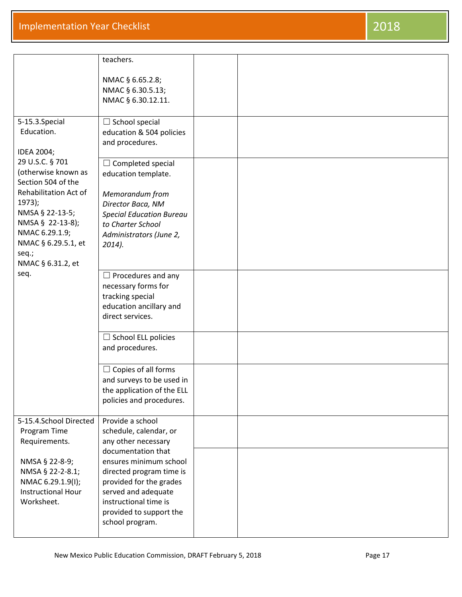## **Implementation Year Checklist** 2018

|                                                                                                    | teachers.                                                                                                                                                                   |  |
|----------------------------------------------------------------------------------------------------|-----------------------------------------------------------------------------------------------------------------------------------------------------------------------------|--|
|                                                                                                    | NMAC § 6.65.2.8;<br>NMAC § 6.30.5.13;<br>NMAC § 6.30.12.11.                                                                                                                 |  |
| 5-15.3.Special<br>Education.<br>IDEA 2004;                                                         | $\Box$ School special<br>education & 504 policies<br>and procedures.                                                                                                        |  |
| 29 U.S.C. § 701<br>(otherwise known as<br>Section 504 of the<br>Rehabilitation Act of              | $\Box$ Completed special<br>education template.<br>Memorandum from                                                                                                          |  |
| $1973$ :<br>NMSA § 22-13-5;<br>NMSA § 22-13-8);<br>NMAC 6.29.1.9;<br>NMAC § 6.29.5.1, et<br>seq.;  | Director Baca, NM<br><b>Special Education Bureau</b><br>to Charter School<br>Administrators (June 2,<br>$2014$ ).                                                           |  |
| NMAC § 6.31.2, et<br>seq.                                                                          | $\Box$ Procedures and any<br>necessary forms for<br>tracking special<br>education ancillary and<br>direct services.                                                         |  |
|                                                                                                    | $\Box$ School ELL policies<br>and procedures.                                                                                                                               |  |
|                                                                                                    | $\Box$ Copies of all forms<br>and surveys to be used in<br>the application of the ELL<br>policies and procedures.                                                           |  |
| 5-15.4.School Directed<br>Program Time<br>Requirements.                                            | Provide a school<br>schedule, calendar, or<br>any other necessary<br>documentation that                                                                                     |  |
| NMSA § 22-8-9;<br>NMSA § 22-2-8.1;<br>NMAC 6.29.1.9(I);<br><b>Instructional Hour</b><br>Worksheet. | ensures minimum school<br>directed program time is<br>provided for the grades<br>served and adequate<br>instructional time is<br>provided to support the<br>school program. |  |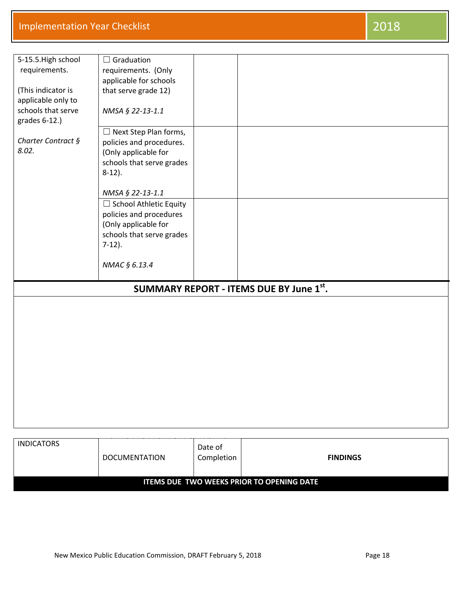## **Implementation Year Checklist** 2018

| 5-15.5. High school | $\Box$ Graduation                      |                                         |  |
|---------------------|----------------------------------------|-----------------------------------------|--|
| requirements.       | requirements. (Only                    |                                         |  |
|                     | applicable for schools                 |                                         |  |
| (This indicator is  | that serve grade 12)                   |                                         |  |
| applicable only to  |                                        |                                         |  |
| schools that serve  | NMSA § 22-13-1.1                       |                                         |  |
| grades 6-12.)       |                                        |                                         |  |
|                     | $\Box$ Next Step Plan forms,           |                                         |  |
| Charter Contract §  | policies and procedures.               |                                         |  |
| 8.02.               | (Only applicable for                   |                                         |  |
|                     | schools that serve grades              |                                         |  |
|                     | $8-12$ ).                              |                                         |  |
|                     |                                        |                                         |  |
|                     | NMSA § 22-13-1.1                       |                                         |  |
|                     | □ School Athletic Equity               |                                         |  |
|                     | policies and procedures                |                                         |  |
|                     | (Only applicable for                   |                                         |  |
|                     | schools that serve grades<br>$7-12$ ). |                                         |  |
|                     |                                        |                                         |  |
|                     | NMAC § 6.13.4                          |                                         |  |
|                     |                                        |                                         |  |
|                     |                                        | SUMMARY REPORT - ITEMS DUE BY June 1st. |  |
|                     |                                        |                                         |  |
|                     |                                        |                                         |  |
|                     |                                        |                                         |  |
|                     |                                        |                                         |  |
|                     |                                        |                                         |  |
|                     |                                        |                                         |  |
|                     |                                        |                                         |  |
|                     |                                        |                                         |  |
|                     |                                        |                                         |  |
|                     |                                        |                                         |  |
|                     |                                        |                                         |  |
|                     |                                        |                                         |  |
|                     |                                        |                                         |  |
|                     |                                        |                                         |  |

| <b>INDICATORS</b>                                | DOCUMENTATION | Date of<br>Completion | <b>FINDINGS</b> |  |  |
|--------------------------------------------------|---------------|-----------------------|-----------------|--|--|
| <b>ITEMS DUE TWO WEEKS PRIOR TO OPENING DATE</b> |               |                       |                 |  |  |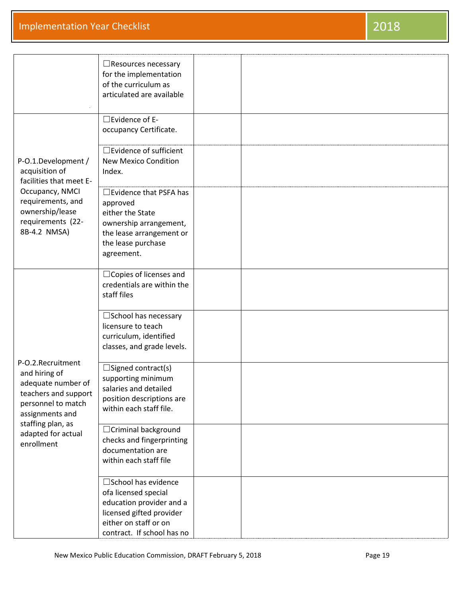|                                                                                                                                                                                    | $\Box$ Resources necessary<br>for the implementation<br>of the curriculum as<br>articulated are available                                                    |  |
|------------------------------------------------------------------------------------------------------------------------------------------------------------------------------------|--------------------------------------------------------------------------------------------------------------------------------------------------------------|--|
| P-O.1.Development /<br>acquisition of<br>facilities that meet E-<br>Occupancy, NMCI<br>requirements, and<br>ownership/lease<br>requirements (22-<br>8B-4.2 NMSA)                   | $\square$ Evidence of E-<br>occupancy Certificate.                                                                                                           |  |
|                                                                                                                                                                                    | $\Box$ Evidence of sufficient<br><b>New Mexico Condition</b><br>Index.                                                                                       |  |
|                                                                                                                                                                                    | $\Box$ Evidence that PSFA has<br>approved<br>either the State<br>ownership arrangement,<br>the lease arrangement or<br>the lease purchase<br>agreement.      |  |
|                                                                                                                                                                                    | $\Box$ Copies of licenses and<br>credentials are within the<br>staff files                                                                                   |  |
| P-O.2.Recruitment<br>and hiring of<br>adequate number of<br>teachers and support<br>personnel to match<br>assignments and<br>staffing plan, as<br>adapted for actual<br>enrollment | $\square$ School has necessary<br>licensure to teach<br>curriculum, identified<br>classes, and grade levels.                                                 |  |
|                                                                                                                                                                                    | $\square$ Signed contract(s)<br>supporting minimum<br>salaries and detailed<br>position descriptions are<br>within each staff file.                          |  |
|                                                                                                                                                                                    | □ Criminal background<br>checks and fingerprinting<br>documentation are<br>within each staff file                                                            |  |
|                                                                                                                                                                                    | □ School has evidence<br>ofa licensed special<br>education provider and a<br>licensed gifted provider<br>either on staff or on<br>contract. If school has no |  |